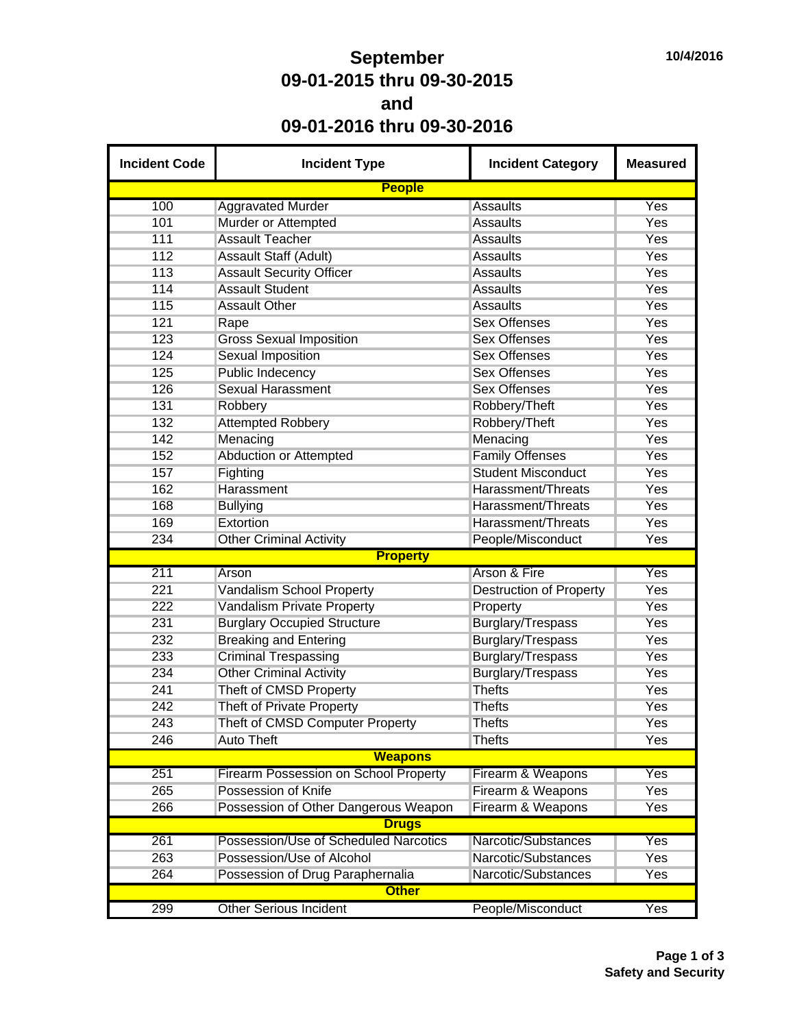## **September 09-01-2015 thru 09-30-2015 and 09-01-2016 thru 09-30-2016**

| <b>Incident Code</b> | <b>Incident Type</b>                         | <b>Incident Category</b>       | <b>Measured</b> |  |  |  |  |  |  |
|----------------------|----------------------------------------------|--------------------------------|-----------------|--|--|--|--|--|--|
|                      | <b>People</b>                                |                                |                 |  |  |  |  |  |  |
| 100                  | <b>Aggravated Murder</b>                     | <b>Assaults</b>                | Yes             |  |  |  |  |  |  |
| 101                  | Murder or Attempted                          | <b>Assaults</b>                | Yes             |  |  |  |  |  |  |
| 111                  | <b>Assault Teacher</b>                       | <b>Assaults</b>                | Yes             |  |  |  |  |  |  |
| 112                  | <b>Assault Staff (Adult)</b>                 | <b>Assaults</b>                | <b>Yes</b>      |  |  |  |  |  |  |
| 113                  | <b>Assault Security Officer</b>              | <b>Assaults</b>                | Yes             |  |  |  |  |  |  |
| 114                  | <b>Assault Student</b>                       | <b>Assaults</b>                | <b>Yes</b>      |  |  |  |  |  |  |
| 115                  | <b>Assault Other</b>                         | <b>Assaults</b>                | Yes             |  |  |  |  |  |  |
| 121                  | Rape                                         | <b>Sex Offenses</b>            | Yes             |  |  |  |  |  |  |
| 123                  | <b>Gross Sexual Imposition</b>               | <b>Sex Offenses</b>            | Yes             |  |  |  |  |  |  |
| 124                  | <b>Sexual Imposition</b>                     | <b>Sex Offenses</b>            | <b>Yes</b>      |  |  |  |  |  |  |
| 125                  | Public Indecency                             | <b>Sex Offenses</b>            | <b>Yes</b>      |  |  |  |  |  |  |
| 126                  | <b>Sexual Harassment</b>                     | <b>Sex Offenses</b>            | Yes             |  |  |  |  |  |  |
| 131                  | Robbery                                      | Robbery/Theft                  | Yes             |  |  |  |  |  |  |
| 132                  | <b>Attempted Robbery</b>                     | Robbery/Theft                  | <b>Yes</b>      |  |  |  |  |  |  |
| 142                  | Menacing                                     | Menacing                       | Yes             |  |  |  |  |  |  |
| 152                  | <b>Abduction or Attempted</b>                | <b>Family Offenses</b>         | Yes             |  |  |  |  |  |  |
| 157                  | Fighting                                     | <b>Student Misconduct</b>      | <b>Yes</b>      |  |  |  |  |  |  |
| 162                  | Harassment                                   | Harassment/Threats             | <b>Yes</b>      |  |  |  |  |  |  |
| 168                  | <b>Bullying</b>                              | Harassment/Threats             | <b>Yes</b>      |  |  |  |  |  |  |
| 169                  | Extortion                                    | Harassment/Threats             | <b>Yes</b>      |  |  |  |  |  |  |
| 234                  | <b>Other Criminal Activity</b>               | People/Misconduct              | Yes             |  |  |  |  |  |  |
| <b>Property</b>      |                                              |                                |                 |  |  |  |  |  |  |
| 211                  | Arson                                        | Arson & Fire                   | Yes             |  |  |  |  |  |  |
| 221                  | Vandalism School Property                    | <b>Destruction of Property</b> | <b>Yes</b>      |  |  |  |  |  |  |
| 222                  | Vandalism Private Property                   | Property                       | <b>Yes</b>      |  |  |  |  |  |  |
| 231                  | <b>Burglary Occupied Structure</b>           | Burglary/Trespass              | Yes             |  |  |  |  |  |  |
| 232                  | <b>Breaking and Entering</b>                 | Burglary/Trespass              | <b>Yes</b>      |  |  |  |  |  |  |
| 233                  | <b>Criminal Trespassing</b>                  | Burglary/Trespass              | <b>Yes</b>      |  |  |  |  |  |  |
| 234                  | <b>Other Criminal Activity</b>               | <b>Burglary/Trespass</b>       | Yes             |  |  |  |  |  |  |
| 241                  | Theft of CMSD Property                       | <b>Thefts</b>                  | Yes             |  |  |  |  |  |  |
| 242                  | <b>Theft of Private Property</b>             | <b>Thefts</b>                  | Yes             |  |  |  |  |  |  |
| 243                  | Theft of CMSD Computer Property              | <b>Thefts</b>                  | Yes             |  |  |  |  |  |  |
| 246                  | <b>Auto Theft</b>                            | <b>Thefts</b>                  | Yes             |  |  |  |  |  |  |
|                      | <b>Weapons</b>                               |                                |                 |  |  |  |  |  |  |
| 251                  | <b>Firearm Possession on School Property</b> | Firearm & Weapons              | Yes             |  |  |  |  |  |  |
| 265                  | Possession of Knife                          | Firearm & Weapons              | <b>Yes</b>      |  |  |  |  |  |  |
| 266                  | Possession of Other Dangerous Weapon         | Firearm & Weapons              | Yes             |  |  |  |  |  |  |
|                      | <b>Drugs</b>                                 |                                |                 |  |  |  |  |  |  |
| 261                  | Possession/Use of Scheduled Narcotics        | Narcotic/Substances            | Yes             |  |  |  |  |  |  |
| 263                  | Possession/Use of Alcohol                    | Narcotic/Substances            | Yes             |  |  |  |  |  |  |
| 264                  | Possession of Drug Paraphernalia             | Narcotic/Substances            | Yes             |  |  |  |  |  |  |
|                      |                                              |                                |                 |  |  |  |  |  |  |
|                      | <b>Other</b>                                 |                                |                 |  |  |  |  |  |  |
| 299                  | <b>Other Serious Incident</b>                | People/Misconduct              | Yes             |  |  |  |  |  |  |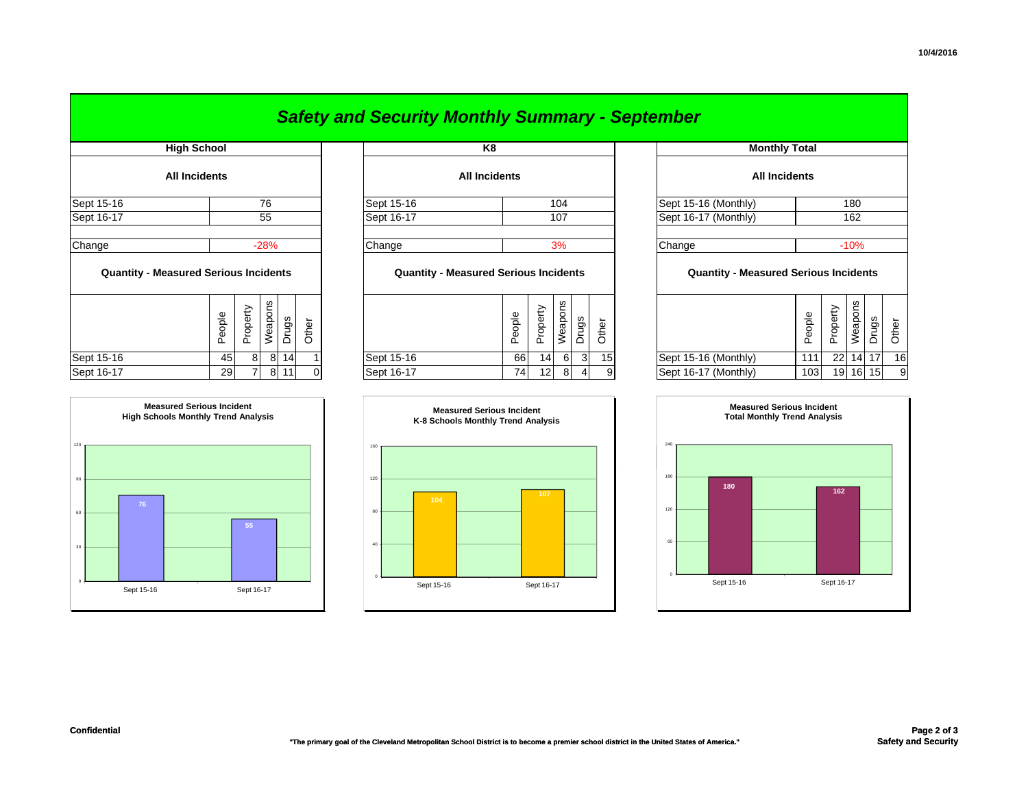|                                              |        |               |                   |            |                |                      | <b>Safety and Security Monthly Summary - September</b> |  |        |          |                      |                |                      |     |                                                         |                      |          |                             |       |
|----------------------------------------------|--------|---------------|-------------------|------------|----------------|----------------------|--------------------------------------------------------|--|--------|----------|----------------------|----------------|----------------------|-----|---------------------------------------------------------|----------------------|----------|-----------------------------|-------|
| <b>High School</b>                           |        |               |                   |            | K <sub>8</sub> |                      |                                                        |  |        |          | <b>Monthly Total</b> |                |                      |     |                                                         |                      |          |                             |       |
| <b>All Incidents</b>                         |        |               |                   |            |                | <b>All Incidents</b> |                                                        |  |        |          |                      |                | <b>All Incidents</b> |     |                                                         |                      |          |                             |       |
| Sept 15-16<br>76                             |        |               | Sept 15-16<br>104 |            |                |                      | Sept 15-16 (Monthly)                                   |  | 180    |          |                      |                |                      |     |                                                         |                      |          |                             |       |
| Sept 16-17                                   | 55     |               |                   | Sept 16-17 |                | 107                  |                                                        |  |        |          | Sept 16-17 (Monthly) |                |                      | 162 |                                                         |                      |          |                             |       |
| Change                                       | $-28%$ |               |                   |            | Change         |                      |                                                        |  | 3%     |          |                      |                | Change               |     | $-10%$                                                  |                      |          |                             |       |
| <b>Quantity - Measured Serious Incidents</b> |        |               |                   |            |                |                      | <b>Quantity - Measured Serious Incidents</b>           |  |        |          |                      |                |                      |     | <b>Quantity - Measured Serious Incidents</b>            |                      |          |                             |       |
|                                              |        | People        | Property          | Weapons    | Drugs          | Other                |                                                        |  | People | Property | Weapons              | Drugs          | Other                |     |                                                         | People               | Property | Weapons                     | Druas |
| Sept 15-16                                   |        | 45            | 8                 |            | 8 14           |                      | Sept 15-16                                             |  | 66     | 14       | 6                    | 3 <sup>1</sup> | 15                   |     | Sept 15-16 (Monthly)                                    | 111                  | 22       | $14 \; 1$                   |       |
| .                                            |        | $\sim$ $\sim$ | - 1               |            | انتاما         |                      | $\sim$ $\sim$ $\sim$ $\sim$                            |  | $-1$   | المنا    | $\sim$               |                |                      |     | $\sim$ $\sim$ $\sim$ $\sim$ $\sim$ $\sim$ $\sim$ $\sim$ | $\sim$ $\sim$ $\sim$ |          | $\sim$ $\sim$ $\sim$ $\sim$ |       |



| $5$ ept $13 - 10$ | 40.<br>$\circ$<br>$\circ$<br>$\overline{14}$                                   | $9ept 19-10$ |                                                                        | <b>OO</b><br>14 I<br>υı<br>্য | וטו | <b>PORT IS TO (INIGHTILITY)</b> | .<br>22<br>- 141<br>$\mathbf{1}$<br>10                                  |
|-------------------|--------------------------------------------------------------------------------|--------------|------------------------------------------------------------------------|-------------------------------|-----|---------------------------------|-------------------------------------------------------------------------|
| Sept 16-17        | 29<br>8<br>11                                                                  | Sept 16-17   |                                                                        | 74<br>12<br>8<br>4            | 9   | Sept 16-17 (Monthly)            | 103<br>19 16 15<br>9                                                    |
|                   | <b>Measured Serious Incident</b><br><b>High Schools Monthly Trend Analysis</b> |              | <b>Measured Serious Incident</b><br>K-8 Schools Monthly Trend Analysis |                               |     |                                 | <b>Measured Serious Incident</b><br><b>Total Monthly Trend Analysis</b> |
| 120               |                                                                                | 160          |                                                                        |                               |     | 240                             |                                                                         |
| 90<br>76          |                                                                                | 120<br>80    | 104                                                                    | 107                           |     | 180<br>180<br>120               | 162                                                                     |
| 60<br>30          | 55                                                                             | 40           |                                                                        |                               |     | 60                              |                                                                         |
|                   |                                                                                |              |                                                                        |                               |     |                                 |                                                                         |

Sept 15-16 Sept 16-17

|                                                        | <b>Monthly Total</b> |  |  |  |  |  |  |
|--------------------------------------------------------|----------------------|--|--|--|--|--|--|
|                                                        | <b>All Incidents</b> |  |  |  |  |  |  |
| Sept 15-16 (Monthly)                                   | 180                  |  |  |  |  |  |  |
| Sept 16-17 (Monthly)                                   | 162                  |  |  |  |  |  |  |
|                                                        | $-10%$               |  |  |  |  |  |  |
| Change<br><b>Quantity - Measured Serious Incidents</b> |                      |  |  |  |  |  |  |
|                                                        |                      |  |  |  |  |  |  |

|             |            | <b>Measured Serious Incident</b><br><b>Total Monthly Trend Analysis</b> |            |  |
|-------------|------------|-------------------------------------------------------------------------|------------|--|
| 240         |            |                                                                         |            |  |
| 180         | 180        |                                                                         | 162        |  |
| 120         |            |                                                                         |            |  |
| 60          |            |                                                                         |            |  |
| $\mathbf 0$ | Sept 15-16 |                                                                         | Sept 16-17 |  |

Sept 15-16 (Monthly) | 111 22 14 17 16